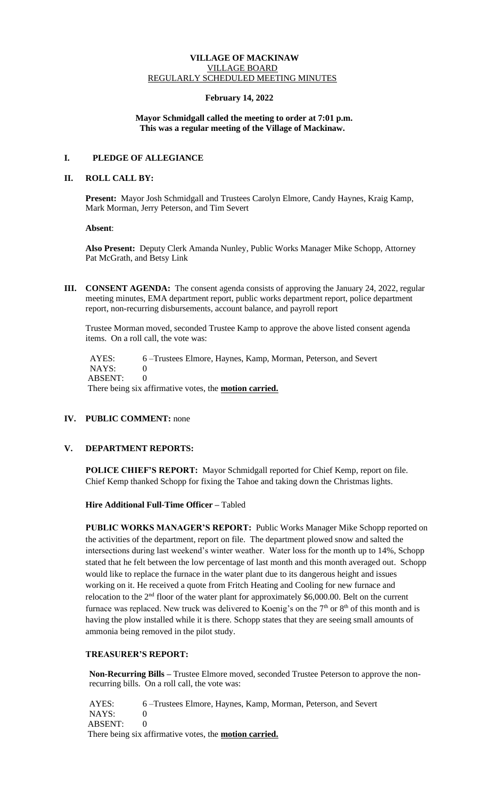#### **VILLAGE OF MACKINAW** VILLAGE BOARD REGULARLY SCHEDULED MEETING MINUTES

#### **February 14, 2022**

#### **Mayor Schmidgall called the meeting to order at 7:01 p.m. This was a regular meeting of the Village of Mackinaw.**

# **I. PLEDGE OF ALLEGIANCE**

#### **II. ROLL CALL BY:**

**Present:** Mayor Josh Schmidgall and Trustees Carolyn Elmore, Candy Haynes, Kraig Kamp, Mark Morman, Jerry Peterson, and Tim Severt

 **Absent**:

**Also Present:** Deputy Clerk Amanda Nunley, Public Works Manager Mike Schopp, Attorney Pat McGrath, and Betsy Link

**III. CONSENT AGENDA:** The consent agenda consists of approving the January 24, 2022, regular meeting minutes, EMA department report, public works department report, police department report, non-recurring disbursements, account balance, and payroll report

Trustee Morman moved, seconded Trustee Kamp to approve the above listed consent agenda items. On a roll call, the vote was:

AYES: 6 –Trustees Elmore, Haynes, Kamp, Morman, Peterson, and Severt NAYS: 0 ABSENT: 0

There being six affirmative votes, the **motion carried.**

# **IV. PUBLIC COMMENT:** none

# **V. DEPARTMENT REPORTS:**

**POLICE CHIEF'S REPORT:** Mayor Schmidgall reported for Chief Kemp, report on file. Chief Kemp thanked Schopp for fixing the Tahoe and taking down the Christmas lights.

**Hire Additional Full-Time Officer –** Tabled

**PUBLIC WORKS MANAGER'S REPORT:** Public Works Manager Mike Schopp reported on the activities of the department, report on file. The department plowed snow and salted the intersections during last weekend's winter weather. Water loss for the month up to 14%, Schopp stated that he felt between the low percentage of last month and this month averaged out. Schopp would like to replace the furnace in the water plant due to its dangerous height and issues working on it. He received a quote from Fritch Heating and Cooling for new furnace and relocation to the 2<sup>nd</sup> floor of the water plant for approximately \$6,000.00. Belt on the current furnace was replaced. New truck was delivered to Koenig's on the  $7<sup>th</sup>$  or  $8<sup>th</sup>$  of this month and is having the plow installed while it is there. Schopp states that they are seeing small amounts of ammonia being removed in the pilot study.

### **TREASURER'S REPORT:**

**Non-Recurring Bills –** Trustee Elmore moved, seconded Trustee Peterson to approve the nonrecurring bills. On a roll call, the vote was:

AYES: 6 –Trustees Elmore, Haynes, Kamp, Morman, Peterson, and Severt NAYS: 0 ABSENT: 0 There being six affirmative votes, the **motion carried.**